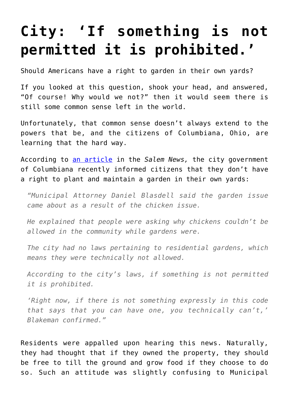## **[City: 'If something is not](https://intellectualtakeout.org/2017/05/city-if-something-is-not-permitted-it-is-prohibited/) [permitted it is prohibited.'](https://intellectualtakeout.org/2017/05/city-if-something-is-not-permitted-it-is-prohibited/)**

Should Americans have a right to garden in their own yards?

If you looked at this question, shook your head, and answered, "Of course! Why would we not?" then it would seem there is still some common sense left in the world.

Unfortunately, that common sense doesn't always extend to the powers that be, and the citizens of Columbiana, Ohio, are learning that the hard way.

According to [an article](http://www.salemnews.net/news/local-news/2017/05/proposed-garden-restrictions-in-columbiana-rile-resident/) in the *Salem News,* the city government of Columbiana recently informed citizens that they don't have a right to plant and maintain a garden in their own yards:

*"Municipal Attorney Daniel Blasdell said the garden issue came about as a result of the chicken issue.*

*He explained that people were asking why chickens couldn't be allowed in the community while gardens were.*

*The city had no laws pertaining to residential gardens, which means they were technically not allowed.*

*According to the city's laws, if something is not permitted it is prohibited.*

*'Right now, if there is not something expressly in this code that says that you can have one, you technically can't,' Blakeman confirmed."*

Residents were appalled upon hearing this news. Naturally, they had thought that if they owned the property, they should be free to till the ground and grow food if they choose to do so. Such an attitude was slightly confusing to Municipal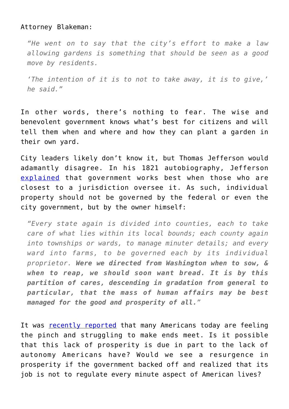## Attorney Blakeman:

*"He went on to say that the city's effort to make a law allowing gardens is something that should be seen as a good move by residents.*

*'The intention of it is to not to take away, it is to give,' he said."*

In other words, there's nothing to fear. The wise and benevolent government knows what's best for citizens and will tell them when and where and how they can plant a garden in their own yard.

City leaders likely don't know it, but Thomas Jefferson would adamantly disagree. In his 1821 autobiography, Jefferson [explained](http://press-pubs.uchicago.edu/founders/documents/v1ch8s44.html) that government works best when those who are closest to a jurisdiction oversee it. As such, individual property should not be governed by the federal or even the city government, but by the owner himself:

*"Every state again is divided into counties, each to take care of what lies within its local bounds; each county again into townships or wards, to manage minuter details; and every ward into farms, to be governed each by its individual proprietor. Were we directed from Washington when to sow, & when to reap, we should soon want bread. It is by this partition of cares, descending in gradation from general to particular, that the mass of human affairs may be best managed for the good and prosperity of all."*

It was [recently reported](https://finance.yahoo.com/news/peter-schiff-america-middle-class-142031998.html) that many Americans today are feeling the pinch and struggling to make ends meet. Is it possible that this lack of prosperity is due in part to the lack of autonomy Americans have? Would we see a resurgence in prosperity if the government backed off and realized that its job is not to regulate every minute aspect of American lives?